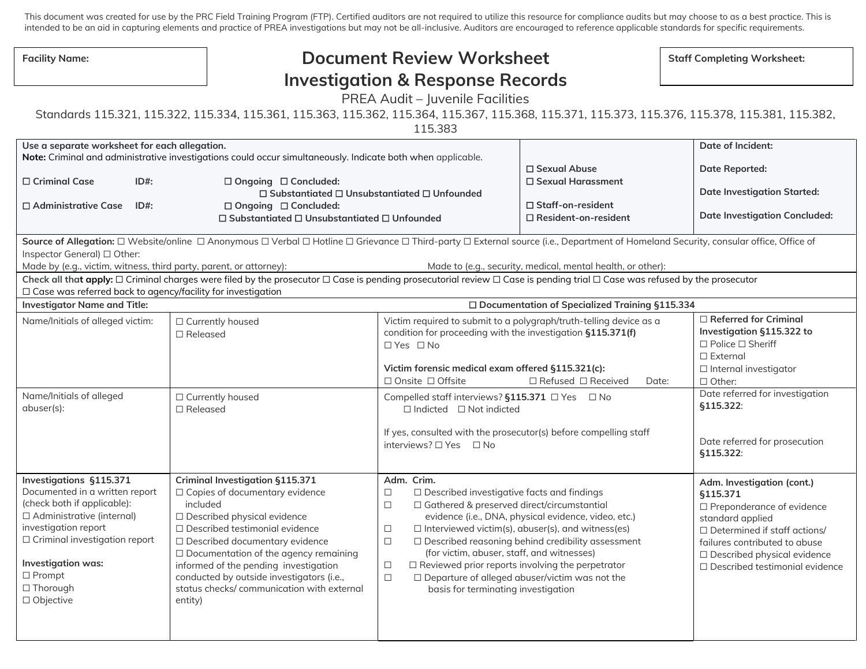This document was created for use by the PRC Field Training Program (FTP). Certified auditors are not required to utilize this resource for compliance audits but may choose to as a best practice. This is intended to be an aid in capturing elements and practice of PREA investigations but may not be all-inclusive. Auditors are encouraged to reference applicable standards for specific requirements.

| <b>Facility Name:</b> |  |
|-----------------------|--|
|-----------------------|--|

## Facility Name: **No. 2. In the Staff Completing Worksheet: Staff Completing Worksheet: Staff Completing Worksheet: Investigation & Response Records**

PREA Audit – Juvenile Facilities

Standards 115.321, 115.322, 115.334, 115.361, 115.363, 115.362, 115.364, 115.367, 115.368, 115.371, 115.373, 115.376, 115.378, 115.381, 115.382,

115.383

| Use a separate worksheet for each allegation.                                                                                                                                                                                                                                                                                                            |                                                                                                                                                                                                                                                                                                                                                                                                |                                                                                                                                                                                                                                                                                                                             |                                                                                                                                                                                                                                  | Date of Incident:                                                                                                                                                                                                                                |  |
|----------------------------------------------------------------------------------------------------------------------------------------------------------------------------------------------------------------------------------------------------------------------------------------------------------------------------------------------------------|------------------------------------------------------------------------------------------------------------------------------------------------------------------------------------------------------------------------------------------------------------------------------------------------------------------------------------------------------------------------------------------------|-----------------------------------------------------------------------------------------------------------------------------------------------------------------------------------------------------------------------------------------------------------------------------------------------------------------------------|----------------------------------------------------------------------------------------------------------------------------------------------------------------------------------------------------------------------------------|--------------------------------------------------------------------------------------------------------------------------------------------------------------------------------------------------------------------------------------------------|--|
|                                                                                                                                                                                                                                                                                                                                                          | Note: Criminal and administrative investigations could occur simultaneously. Indicate both when applicable.                                                                                                                                                                                                                                                                                    |                                                                                                                                                                                                                                                                                                                             | □ Sexual Abuse                                                                                                                                                                                                                   | Date Reported:                                                                                                                                                                                                                                   |  |
| □ Criminal Case<br>$ID#$ :<br>□ Administrative Case<br>$ID#$ :                                                                                                                                                                                                                                                                                           | $\Box$ Ongoing $\Box$ Concluded:<br>$\Box$ Substantiated $\Box$ Unsubstantiated $\Box$ Unfounded<br>□ Ongoing □ Concluded:<br>$\Box$ Substantiated $\Box$ Unsubstantiated $\Box$ Unfounded                                                                                                                                                                                                     |                                                                                                                                                                                                                                                                                                                             | □ Sexual Harassment<br>$\Box$ Staff-on-resident<br>$\Box$ Resident-on-resident                                                                                                                                                   | <b>Date Investigation Started:</b><br><b>Date Investigation Concluded:</b>                                                                                                                                                                       |  |
| Source of Allegation: □ Website/online □ Anonymous □ Verbal □ Hotline □ Grievance □ Third-party □ External source (i.e., Department of Homeland Security, consular office, Office of<br>Inspector General) □ Other:<br>Made by (e.g., victim, witness, third party, parent, or attorney):<br>Made to (e.g., security, medical, mental health, or other): |                                                                                                                                                                                                                                                                                                                                                                                                |                                                                                                                                                                                                                                                                                                                             |                                                                                                                                                                                                                                  |                                                                                                                                                                                                                                                  |  |
| Check all that apply: □ Criminal charges were filed by the prosecutor □ Case is pending prosecutorial review □ Case is pending trial □ Case was refused by the prosecutor<br>□ Case was referred back to agency/facility for investigation                                                                                                               |                                                                                                                                                                                                                                                                                                                                                                                                |                                                                                                                                                                                                                                                                                                                             |                                                                                                                                                                                                                                  |                                                                                                                                                                                                                                                  |  |
| <b>Investigator Name and Title:</b>                                                                                                                                                                                                                                                                                                                      |                                                                                                                                                                                                                                                                                                                                                                                                |                                                                                                                                                                                                                                                                                                                             | □ Documentation of Specialized Training §115.334                                                                                                                                                                                 |                                                                                                                                                                                                                                                  |  |
| Name/Initials of alleged victim:                                                                                                                                                                                                                                                                                                                         | □ Currently housed<br>$\Box$ Released                                                                                                                                                                                                                                                                                                                                                          | condition for proceeding with the investigation §115.371(f)<br>$\Box$ Yes $\Box$ No<br>Victim forensic medical exam offered §115.321(c):<br>□ Onsite □ Offsite                                                                                                                                                              | Victim required to submit to a polygraph/truth-telling device as a<br>$\Box$ Refused $\Box$ Received<br>Date:                                                                                                                    | $\Box$ Referred for Criminal<br>Investigation §115.322 to<br>$\Box$ Police $\Box$ Sheriff<br>$\Box$ External<br>$\Box$ Internal investigator<br>□ Other:                                                                                         |  |
| Name/Initials of alleged<br>abuser(s):                                                                                                                                                                                                                                                                                                                   | □ Currently housed<br>$\Box$ Released                                                                                                                                                                                                                                                                                                                                                          | Compelled staff interviews? §115.371 □ Yes □ No<br>$\Box$ Indicted $\Box$ Not indicted<br>If yes, consulted with the prosecutor(s) before compelling staff<br>interviews? □ Yes □ No                                                                                                                                        |                                                                                                                                                                                                                                  | Date referred for investigation<br><b>§115.322:</b><br>Date referred for prosecution<br>§115.322:                                                                                                                                                |  |
| <b>Investigations §115.371</b><br>Documented in a written report<br>(check both if applicable):<br>□ Administrative (internal)<br>investigation report<br>□ Criminal investigation report<br>Investigation was:<br>$\Box$ Prompt<br>□ Thorough<br>□ Objective                                                                                            | <b>Criminal Investigation §115.371</b><br>□ Copies of documentary evidence<br>included<br>□ Described physical evidence<br>□ Described testimonial evidence<br>□ Described documentary evidence<br>$\Box$ Documentation of the agency remaining<br>informed of the pending investigation<br>conducted by outside investigators (i.e.,<br>status checks/ communication with external<br>entity) | Adm. Crim.<br>$\Box$ Described investigative facts and findings<br>$\Box$<br>□ Gathered & preserved direct/circumstantial<br>$\Box$<br>$\Box$<br>$\Box$<br>(for victim, abuser, staff, and witnesses)<br>$\Box$ Reviewed prior reports involving the perpetrator<br>$\Box$<br>$\Box$<br>basis for terminating investigation | evidence (i.e., DNA, physical evidence, video, etc.)<br>$\Box$ Interviewed victim(s), abuser(s), and witness(es)<br>□ Described reasoning behind credibility assessment<br>$\Box$ Departure of alleged abuser/victim was not the | Adm. Investigation (cont.)<br>§115.371<br>$\Box$ Preponderance of evidence<br>standard applied<br>$\Box$ Determined if staff actions/<br>failures contributed to abuse<br>□ Described physical evidence<br>$\Box$ Described testimonial evidence |  |